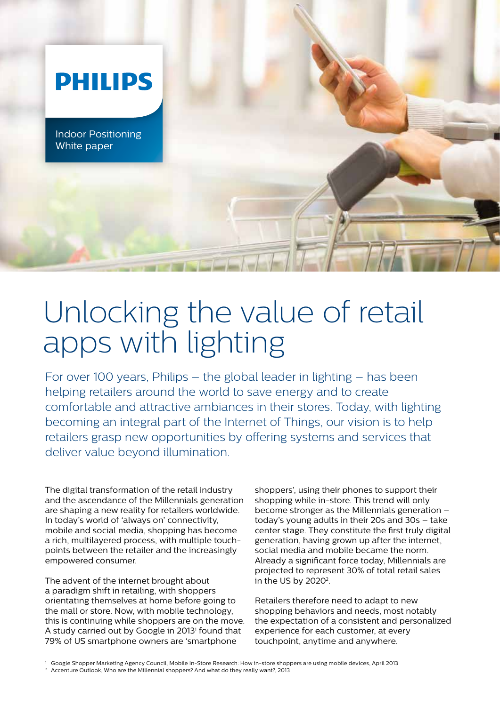

# Unlocking the value of retail apps with lighting

For over 100 years, Philips – the global leader in lighting – has been helping retailers around the world to save energy and to create comfortable and attractive ambiances in their stores. Today, with lighting becoming an integral part of the Internet of Things, our vision is to help retailers grasp new opportunities by offering systems and services that deliver value beyond illumination.

The digital transformation of the retail industry and the ascendance of the Millennials generation are shaping a new reality for retailers worldwide. In today's world of 'always on' connectivity, mobile and social media, shopping has become a rich, multilayered process, with multiple touchpoints between the retailer and the increasingly empowered consumer.

The advent of the internet brought about a paradigm shift in retailing, with shoppers orientating themselves at home before going to the mall or store. Now, with mobile technology, this is continuing while shoppers are on the move. A study carried out by Google in 2013<sup>1</sup> found that 79% of US smartphone owners are 'smartphone

shoppers', using their phones to support their shopping while in-store. This trend will only become stronger as the Millennials generation – today's young adults in their 20s and 30s – take center stage. They constitute the first truly digital generation, having grown up after the internet, social media and mobile became the norm. Already a significant force today, Millennials are projected to represent 30% of total retail sales in the US by 2020<sup>2</sup>.

Retailers therefore need to adapt to new shopping behaviors and needs, most notably the expectation of a consistent and personalized experience for each customer, at every touchpoint, anytime and anywhere.

<sup>1</sup> Google Shopper Marketing Agency Council, Mobile In-Store Research: How in-store shoppers are using mobile devices, April 2013

<sup>&</sup>lt;sup>2</sup> Accenture Outlook, Who are the Millennial shoppers? And what do they really want?, 2013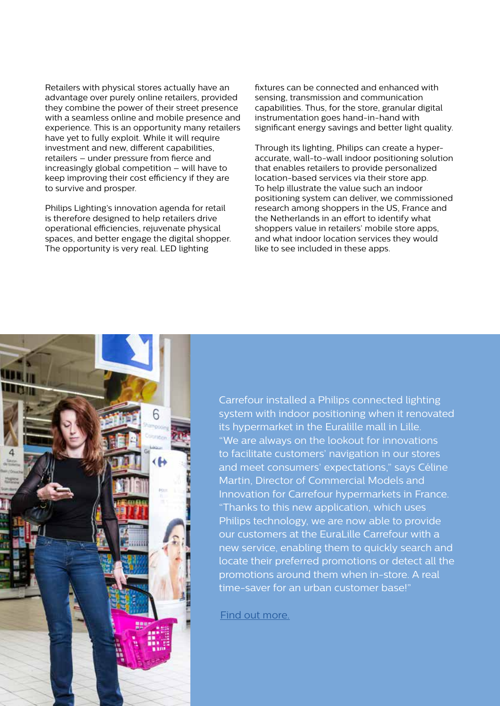Retailers with physical stores actually have an advantage over purely online retailers, provided they combine the power of their street presence with a seamless online and mobile presence and experience. This is an opportunity many retailers have yet to fully exploit. While it will require investment and new, different capabilities, retailers – under pressure from fierce and increasingly global competition – will have to keep improving their cost efficiency if they are to survive and prosper.

Philips Lighting's innovation agenda for retail is therefore designed to help retailers drive operational efficiencies, rejuvenate physical spaces, and better engage the digital shopper. The opportunity is very real. LED lighting

fixtures can be connected and enhanced with sensing, transmission and communication capabilities. Thus, for the store, granular digital instrumentation goes hand-in-hand with significant energy savings and better light quality.

Through its lighting, Philips can create a hyperaccurate, wall-to-wall indoor positioning solution that enables retailers to provide personalized location-based services via their store app. To help illustrate the value such an indoor positioning system can deliver, we commissioned research among shoppers in the US, France and the Netherlands in an effort to identify what shoppers value in retailers' mobile store apps, and what indoor location services they would like to see included in these apps.



Carrefour installed a Philips connected lighting system with indoor positioning when it renovated its hypermarket in the Euralille mall in Lille. "We are always on the lookout for innovations to facilitate customers' navigation in our stores and meet consumers' expectations," says Céline Martin, Director of Commercial Models and Innovation for Carrefour hypermarkets in France. "Thanks to this new application, which uses Philips technology, we are now able to provide our customers at the EuraLille Carrefour with a new service, enabling them to quickly search and locate their preferred promotions or detect all the promotions around them when in-store. A real time-saver for an urban customer base!"

[Find out more.](http://www.lighting.philips.com/main/cases/cases/food-and-large-retailers/carrefour-lille.html)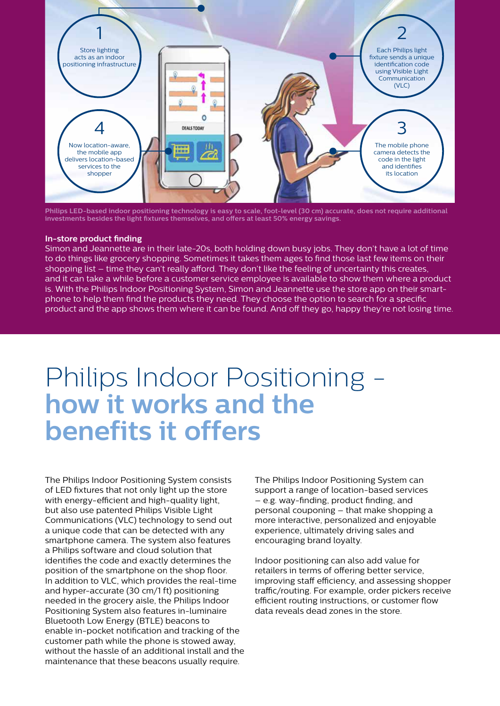

**Philips LED-based indoor positioning technology is easy to scale, foot-level (30 cm) accurate, does not require additional investments besides the light fixtures themselves, and offers at least 50% energy savings.**

#### **In-store product finding**

Simon and Jeannette are in their late-20s, both holding down busy jobs. They don't have a lot of time to do things like grocery shopping. Sometimes it takes them ages to find those last few items on their shopping list – time they can't really afford. They don't like the feeling of uncertainty this creates, and it can take a while before a customer service employee is available to show them where a product is. With the Philips Indoor Positioning System, Simon and Jeannette use the store app on their smartphone to help them find the products they need. They choose the option to search for a specific product and the app shows them where it can be found. And off they go, happy they're not losing time.

### Philips Indoor Positioning **how it works and the benefits it offers**

The Philips Indoor Positioning System consists of LED fixtures that not only light up the store with energy-efficient and high-quality light, but also use patented Philips Visible Light Communications (VLC) technology to send out a unique code that can be detected with any smartphone camera. The system also features a Philips software and cloud solution that identifies the code and exactly determines the position of the smartphone on the shop floor. In addition to VLC, which provides the real-time and hyper-accurate (30 cm/1 ft) positioning needed in the grocery aisle, the Philips Indoor Positioning System also features in-luminaire Bluetooth Low Energy (BTLE) beacons to enable in-pocket notification and tracking of the customer path while the phone is stowed away, without the hassle of an additional install and the maintenance that these beacons usually require.

The Philips Indoor Positioning System can support a range of location-based services – e.g. way-finding, product finding, and personal couponing – that make shopping a more interactive, personalized and enjoyable experience, ultimately driving sales and encouraging brand loyalty.

Indoor positioning can also add value for retailers in terms of offering better service, improving staff efficiency, and assessing shopper traffic/routing. For example, order pickers receive efficient routing instructions, or customer flow data reveals dead zones in the store.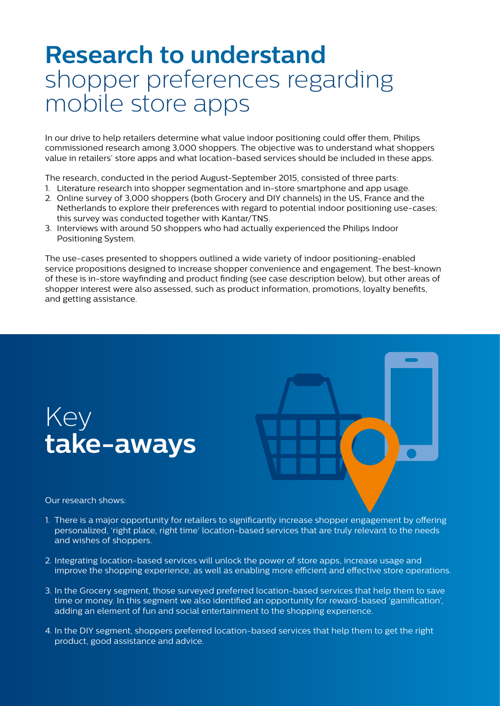### **Research to understand** shopper preferences regarding mobile store apps

In our drive to help retailers determine what value indoor positioning could offer them, Philips commissioned research among 3,000 shoppers. The objective was to understand what shoppers value in retailers' store apps and what location-based services should be included in these apps.

The research, conducted in the period August-September 2015, consisted of three parts:

- 1. Literature research into shopper segmentation and in-store smartphone and app usage.
- 2. Online survey of 3,000 shoppers (both Grocery and DIY channels) in the US, France and the Netherlands to explore their preferences with regard to potential indoor positioning use-cases; this survey was conducted together with Kantar/TNS.
- 3. Interviews with around 50 shoppers who had actually experienced the Philips Indoor Positioning System.

The use-cases presented to shoppers outlined a wide variety of indoor positioning-enabled service propositions designed to increase shopper convenience and engagement. The best-known of these is in-store wayfinding and product finding (see case description below), but other areas of shopper interest were also assessed, such as product information, promotions, loyalty benefits, and getting assistance.





Our research shows:

- 1. There is a major opportunity for retailers to significantly increase shopper engagement by offering personalized, 'right place, right time' location-based services that are truly relevant to the needs and wishes of shoppers.
- 2. Integrating location-based services will unlock the power of store apps, increase usage and improve the shopping experience, as well as enabling more efficient and effective store operations.
- 3. In the Grocery segment, those surveyed preferred location-based services that help them to save time or money. In this segment we also identified an opportunity for reward-based 'gamification', adding an element of fun and social entertainment to the shopping experience.
- 4. In the DIY segment, shoppers preferred location-based services that help them to get the right product, good assistance and advice.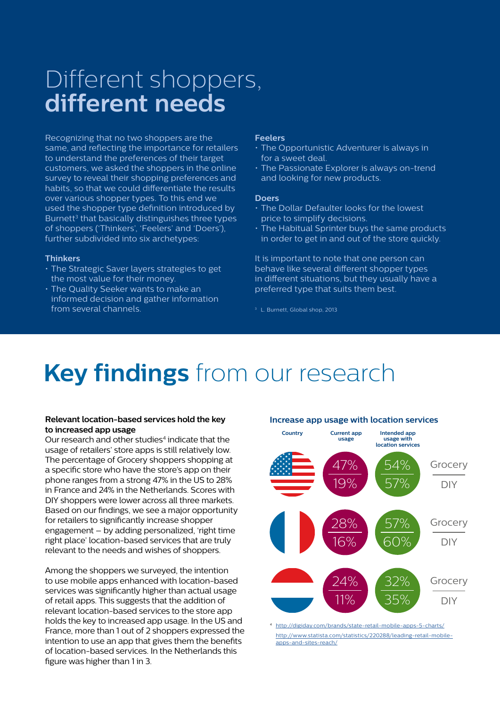### Different shoppers, **different needs**

Recognizing that no two shoppers are the same, and reflecting the importance for retailers to understand the preferences of their target customers, we asked the shoppers in the online survey to reveal their shopping preferences and habits, so that we could differentiate the results over various shopper types. To this end we used the shopper type definition introduced by Burnett<sup>3</sup> that basically distinguishes three types of shoppers ('Thinkers', 'Feelers' and 'Doers'), further subdivided into six archetypes:

#### **Thinkers**

- The Strategic Saver layers strategies to get the most value for their money.
- The Quality Seeker wants to make an informed decision and gather information from several channels.

#### **Feelers**

- The Opportunistic Adventurer is always in for a sweet deal.
- The Passionate Explorer is always on-trend and looking for new products.

#### **Doers**

- The Dollar Defaulter looks for the lowest price to simplify decisions.
- The Habitual Sprinter buys the same products in order to get in and out of the store quickly.

It is important to note that one person can behave like several different shopper types in different situations, but they usually have a preferred type that suits them best.

<sup>3</sup> L. Burnett, Global shop, 2013

## **Key findings** from our research

### **Relevant location-based services hold the key to increased app usage**

Our research and other studies<sup>4</sup> indicate that the usage of retailers' store apps is still relatively low. The percentage of Grocery shoppers shopping at a specific store who have the store's app on their phone ranges from a strong 47% in the US to 28% in France and 24% in the Netherlands. Scores with DIY shoppers were lower across all three markets. Based on our findings, we see a major opportunity for retailers to significantly increase shopper engagement – by adding personalized, 'right time right place' location-based services that are truly relevant to the needs and wishes of shoppers.

Among the shoppers we surveyed, the intention to use mobile apps enhanced with location-based services was significantly higher than actual usage of retail apps. This suggests that the addition of relevant location-based services to the store app holds the key to increased app usage. In the US and France, more than 1 out of 2 shoppers expressed the intention to use an app that gives them the benefits of location-based services. In the Netherlands this figure was higher than 1 in 3.



<http://digiday.com/brands/state-retail-mobile-apps-5-charts/> [http://www.statista.com/statistics/220288/leading-retail-mobile](http://www.statista.com/statistics/220288/leading-retail-mobile-apps-and-sites-reach/)[apps-and-sites-reach/](http://www.statista.com/statistics/220288/leading-retail-mobile-apps-and-sites-reach/)

### **Increase app usage with location services**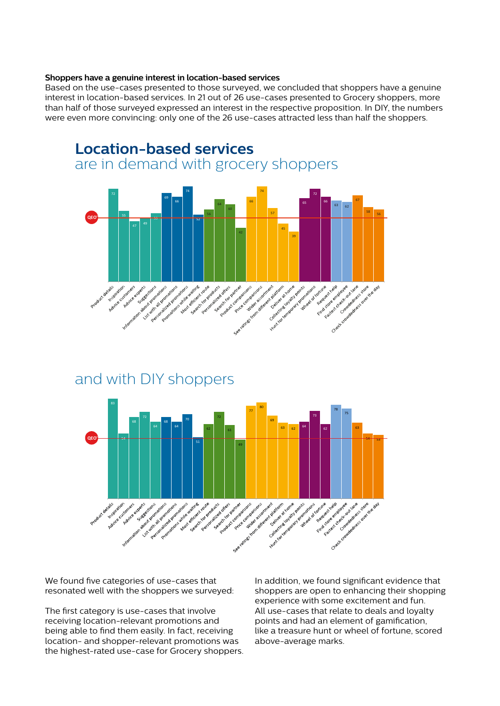#### **Shoppers have a genuine interest in location-based services**

Based on the use-cases presented to those surveyed, we concluded that shoppers have a genuine interest in location-based services. In 21 out of 26 use-cases presented to Grocery shoppers, more than half of those surveyed expressed an interest in the respective proposition. In DIY, the numbers were even more convincing: only one of the 26 use-cases attracted less than half the shoppers.



### and with DIY shoppers



We found five categories of use-cases that resonated well with the shoppers we surveyed:

The first category is use-cases that involve receiving location-relevant promotions and being able to find them easily. In fact, receiving location- and shopper-relevant promotions was the highest-rated use-case for Grocery shoppers. In addition, we found significant evidence that shoppers are open to enhancing their shopping experience with some excitement and fun. All use-cases that relate to deals and loyalty points and had an element of gamification, like a treasure hunt or wheel of fortune, scored above-average marks.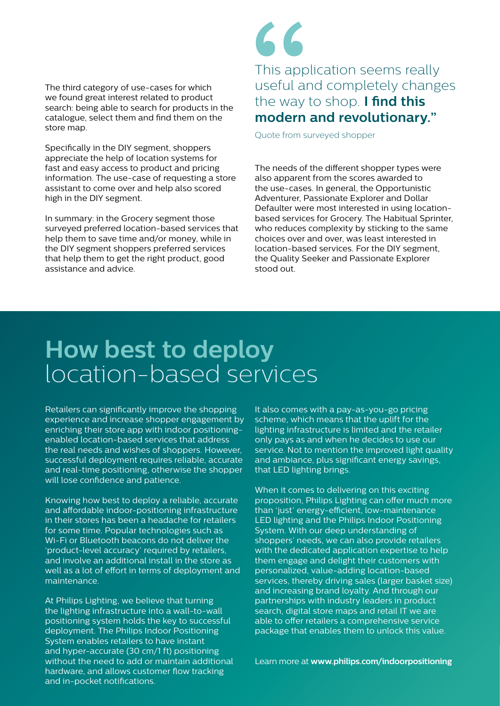The third category of use-cases for which we found great interest related to product search: being able to search for products in the catalogue, select them and find them on the store map.

Specifically in the DIY segment, shoppers appreciate the help of location systems for fast and easy access to product and pricing information. The use-case of requesting a store assistant to come over and help also scored high in the DIY segment.

In summary: in the Grocery segment those surveyed preferred location-based services that help them to save time and/or money, while in the DIY segment shoppers preferred services that help them to get the right product, good assistance and advice.

# This appl<br>
useful an<br>
the way t<br>
modern a<br>
Quote from su This application seems really useful and completely changes the way to shop. **I find this modern and revolutionary."**

Quote from surveyed shopper

The needs of the different shopper types were also apparent from the scores awarded to the use-cases. In general, the Opportunistic Adventurer, Passionate Explorer and Dollar Defaulter were most interested in using locationbased services for Grocery. The Habitual Sprinter, who reduces complexity by sticking to the same choices over and over, was least interested in location-based services. For the DIY segment, the Quality Seeker and Passionate Explorer stood out.

### **How best to deploy**  location-based services

Retailers can significantly improve the shopping experience and increase shopper engagement by enriching their store app with indoor positioningenabled location-based services that address the real needs and wishes of shoppers. However, successful deployment requires reliable, accurate and real-time positioning, otherwise the shopper will lose confidence and patience.

Knowing how best to deploy a reliable, accurate and affordable indoor-positioning infrastructure in their stores has been a headache for retailers for some time. Popular technologies such as Wi-Fi or Bluetooth beacons do not deliver the 'product-level accuracy' required by retailers, and involve an additional install in the store as well as a lot of effort in terms of deployment and maintenance.

At Philips Lighting, we believe that turning the lighting infrastructure into a wall-to-wall positioning system holds the key to successful deployment. The Philips Indoor Positioning System enables retailers to have instant and hyper-accurate (30 cm/1 ft) positioning without the need to add or maintain additional hardware, and allows customer flow tracking and in-pocket notifications.

It also comes with a pay-as-you-go pricing scheme, which means that the uplift for the lighting infrastructure is limited and the retailer only pays as and when he decides to use our service. Not to mention the improved light quality and ambiance, plus significant energy savings, that LED lighting brings.

When it comes to delivering on this exciting proposition, Philips Lighting can offer much more than 'just' energy-efficient, low-maintenance LED lighting and the Philips Indoor Positioning System. With our deep understanding of shoppers' needs, we can also provide retailers with the dedicated application expertise to help them engage and delight their customers with personalized, value-adding location-based services, thereby driving sales (larger basket size) and increasing brand loyalty. And through our partnerships with industry leaders in product search, digital store maps and retail IT we are able to offer retailers a comprehensive service package that enables them to unlock this value.

Learn more at **[www.philips.com/indoorpositioning](http://www.lighting.philips.com/main/systems/themes/led-based-indoor-positioning.html)**